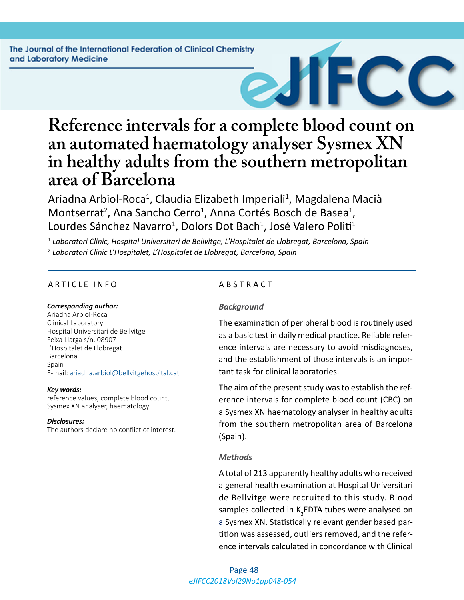

# **Reference intervals for a complete blood count on an automated haematology analyser Sysmex XN in healthy adults from the southern metropolitan area of Barcelona**

Ariadna Arbiol-Roca<sup>1</sup>, Claudia Elizabeth Imperiali<sup>1</sup>, Magdalena Macià Montserrat<sup>2</sup>, Ana Sancho Cerro<sup>1</sup>, Anna Cortés Bosch de Basea<sup>1</sup>, Lourdes Sánchez Navarro<sup>1</sup>, Dolors Dot Bach<sup>1</sup>, José Valero Politi<sup>1</sup>

*1 Laboratori Clínic, Hospital Universitari de Bellvitge, L'Hospitalet de Llobregat, Barcelona, Spain 2 Laboratori Clínic L'Hospitalet, L'Hospitalet de Llobregat, Barcelona, Spain*

#### ARTICLE INFO ABSTRACT

#### *Corresponding author:*

Ariadna Arbiol-Roca Clinical Laboratory Hospital Universitari de Bellvitge Feixa Llarga s/n, 08907 L'Hospitalet de Llobregat Barcelona Spain E-mail: [ariadna.arbiol@bellvitgehospital.cat](mailto:ariadna.arbiol@bellvitgehospital.cat)

#### *Key words:*

reference values, complete blood count, Sysmex XN analyser, haematology

#### *Disclosures:*

The authors declare no conflict of interest.

#### *Background*

The examination of peripheral blood is routinely used as a basic test in daily medical practice. Reliable reference intervals are necessary to avoid misdiagnoses, and the establishment of those intervals is an important task for clinical laboratories.

The aim of the present study was to establish the reference intervals for complete blood count (CBC) on a Sysmex XN haematology analyser in healthy adults from the southern metropolitan area of Barcelona (Spain).

#### *Methods*

A total of 213 apparently healthy adults who received a general health examination at Hospital Universitari de Bellvitge were recruited to this study. Blood samples collected in K<sub>3</sub>EDTA tubes were analysed on a Sysmex XN. Statistically relevant gender based partition was assessed, outliers removed, and the reference intervals calculated in concordance with Clinical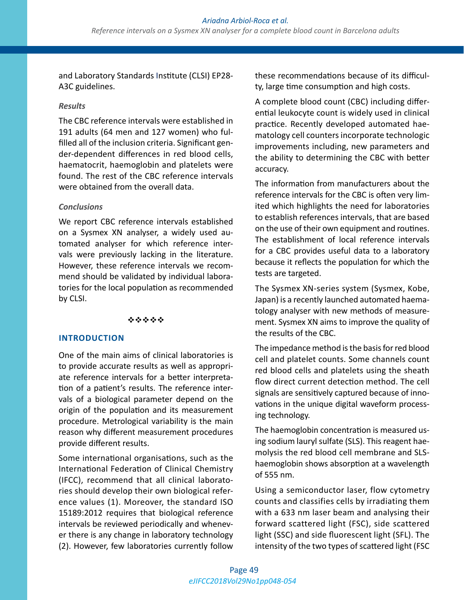and Laboratory Standards Institute (CLSI) EP28- A3C guidelines.

### *Results*

The CBC reference intervals were established in 191 adults (64 men and 127 women) who fulfilled all of the inclusion criteria. Significant gender-dependent differences in red blood cells, haematocrit, haemoglobin and platelets were found. The rest of the CBC reference intervals were obtained from the overall data.

# *Conclusions*

We report CBC reference intervals established on a Sysmex XN analyser, a widely used automated analyser for which reference intervals were previously lacking in the literature. However, these reference intervals we recommend should be validated by individual laboratories for the local population as recommended by CLSI.

#### \*\*\*\*\*

#### **INTRODUCTION**

One of the main aims of clinical laboratories is to provide accurate results as well as appropriate reference intervals for a better interpretation of a patient's results. The reference intervals of a biological parameter depend on the origin of the population and its measurement procedure. Metrological variability is the main reason why different measurement procedures provide different results.

Some international organisations, such as the International Federation of Clinical Chemistry (IFCC), recommend that all clinical laboratories should develop their own biological reference values (1). Moreover, the standard ISO 15189:2012 requires that biological reference intervals be reviewed periodically and whenever there is any change in laboratory technology (2). However, few laboratories currently follow

these recommendations because of its difficulty, large time consumption and high costs.

A complete blood count (CBC) including differential leukocyte count is widely used in clinical practice. Recently developed automated haematology cell counters incorporate technologic improvements including, new parameters and the ability to determining the CBC with better accuracy.

The information from manufacturers about the reference intervals for the CBC is often very limited which highlights the need for laboratories to establish references intervals, that are based on the use of their own equipment and routines. The establishment of local reference intervals for a CBC provides useful data to a laboratory because it reflects the population for which the tests are targeted.

The Sysmex XN-series system (Sysmex, Kobe, Japan) is a recently launched automated haematology analyser with new methods of measurement. Sysmex XN aims to improve the quality of the results of the CBC.

The impedance method is the basis for red blood cell and platelet counts. Some channels count red blood cells and platelets using the sheath flow direct current detection method. The cell signals are sensitively captured because of innovations in the unique digital waveform processing technology.

The haemoglobin concentration is measured using sodium lauryl sulfate (SLS). This reagent haemolysis the red blood cell membrane and SLShaemoglobin shows absorption at a wavelength of 555 nm.

Using a semiconductor laser, flow cytometry counts and classifies cells by irradiating them with a 633 nm laser beam and analysing their forward scattered light (FSC), side scattered light (SSC) and side fluorescent light (SFL). The intensity of the two types of scattered light (FSC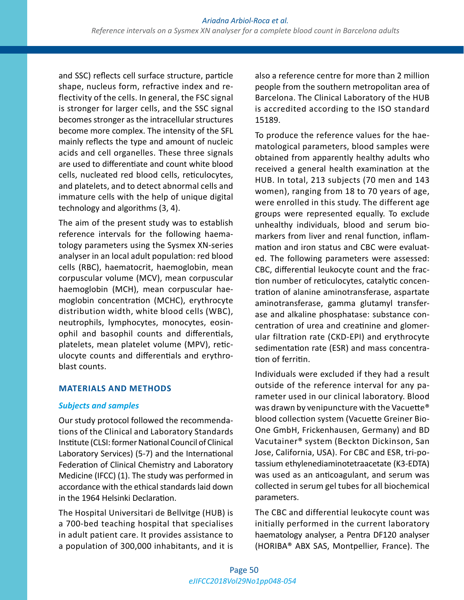and SSC) reflects cell surface structure, particle shape, nucleus form, refractive index and reflectivity of the cells. In general, the FSC signal is stronger for larger cells, and the SSC signal becomes stronger as the intracellular structures become more complex. The intensity of the SFL mainly reflects the type and amount of nucleic acids and cell organelles. These three signals are used to differentiate and count white blood cells, nucleated red blood cells, reticulocytes, and platelets, and to detect abnormal cells and immature cells with the help of unique digital technology and algorithms (3, 4).

The aim of the present study was to establish reference intervals for the following haematology parameters using the Sysmex XN-series analyser in an local adult population: red blood cells (RBC), haematocrit, haemoglobin, mean corpuscular volume (MCV), mean corpuscular haemoglobin (MCH), mean corpuscular haemoglobin concentration (MCHC), erythrocyte distribution width, white blood cells (WBC), neutrophils, lymphocytes, monocytes, eosinophil and basophil counts and differentials, platelets, mean platelet volume (MPV), reticulocyte counts and differentials and erythroblast counts.

#### **MATERIALS AND METHODS**

#### *Subjects and samples*

Our study protocol followed the recommendations of the Clinical and Laboratory Standards Institute (CLSI: former National Council of Clinical Laboratory Services) (5-7) and the International Federation of Clinical Chemistry and Laboratory Medicine (IFCC) (1). The study was performed in accordance with the ethical standards laid down in the 1964 Helsinki Declaration.

The Hospital Universitari de Bellvitge (HUB) is a 700-bed teaching hospital that specialises in adult patient care. It provides assistance to a population of 300,000 inhabitants, and it is also a reference centre for more than 2 million people from the southern metropolitan area of Barcelona. The Clinical Laboratory of the HUB is accredited according to the ISO standard 15189.

To produce the reference values for the haematological parameters, blood samples were obtained from apparently healthy adults who received a general health examination at the HUB. In total, 213 subjects (70 men and 143 women), ranging from 18 to 70 years of age, were enrolled in this study. The different age groups were represented equally. To exclude unhealthy individuals, blood and serum biomarkers from liver and renal function, inflammation and iron status and CBC were evaluated. The following parameters were assessed: CBC, differential leukocyte count and the fraction number of reticulocytes, catalytic concentration of alanine aminotransferase, aspartate aminotransferase, gamma glutamyl transferase and alkaline phosphatase: substance concentration of urea and creatinine and glomerular filtration rate (CKD-EPI) and erythrocyte sedimentation rate (ESR) and mass concentration of ferritin.

Individuals were excluded if they had a result outside of the reference interval for any parameter used in our clinical laboratory. Blood was drawn by venipuncture with the Vacuette® blood collection system (Vacuette Greiner Bio-One GmbH, Frickenhausen, Germany) and BD Vacutainer® system (Beckton Dickinson, San Jose, California, USA). For CBC and ESR, tri-potassium ethylenediaminotetraacetate (K3-EDTA) was used as an anticoagulant, and serum was collected in serum gel tubes for all biochemical parameters.

The CBC and differential leukocyte count was initially performed in the current laboratory haematology analyser, a Pentra DF120 analyser (HORIBA® ABX SAS, Montpellier, France). The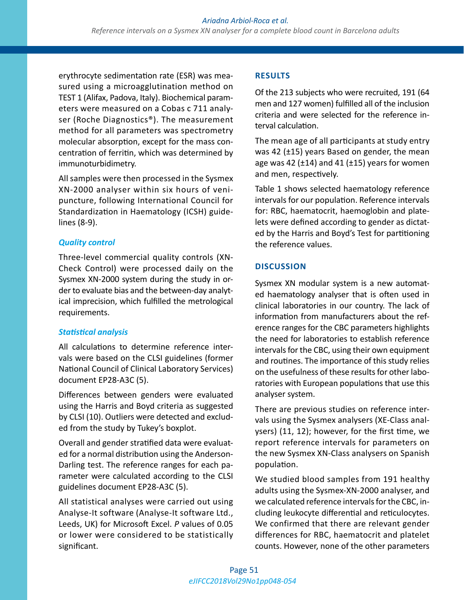erythrocyte sedimentation rate (ESR) was measured using a microagglutination method on TEST 1 (Alifax, Padova, Italy). Biochemical parameters were measured on a Cobas c 711 analyser (Roche Diagnostics®). The measurement method for all parameters was spectrometry molecular absorption, except for the mass concentration of ferritin, which was determined by immunoturbidimetry.

All samples were then processed in the Sysmex XN-2000 analyser within six hours of venipuncture, following International Council for Standardization in Haematology (ICSH) guidelines (8-9).

# *Quality control*

Three-level commercial quality controls (XN-Check Control) were processed daily on the Sysmex XN-2000 system during the study in order to evaluate bias and the between-day analytical imprecision, which fulfilled the metrological requirements.

# *Statistical analysis*

All calculations to determine reference intervals were based on the CLSI guidelines (former National Council of Clinical Laboratory Services) document EP28-A3C (5).

Differences between genders were evaluated using the Harris and Boyd criteria as suggested by CLSI (10). Outliers were detected and excluded from the study by Tukey's boxplot.

Overall and gender stratified data were evaluated for a normal distribution using the Anderson-Darling test. The reference ranges for each parameter were calculated according to the CLSI guidelines document EP28-A3C (5).

All statistical analyses were carried out using Analyse-It software (Analyse-It software Ltd., Leeds, UK) for Microsoft Excel. *P* values of 0.05 or lower were considered to be statistically significant.

# **RESULTS**

Of the 213 subjects who were recruited, 191 (64 men and 127 women) fulfilled all of the inclusion criteria and were selected for the reference interval calculation.

The mean age of all participants at study entry was 42 (±15) years Based on gender, the mean age was 42 ( $\pm$ 14) and 41 ( $\pm$ 15) years for women and men, respectively.

Table 1 shows selected haematology reference intervals for our population. Reference intervals for: RBC, haematocrit, haemoglobin and platelets were defined according to gender as dictated by the Harris and Boyd's Test for partitioning the reference values.

# **DISCUSSION**

Sysmex XN modular system is a new automated haematology analyser that is often used in clinical laboratories in our country. The lack of information from manufacturers about the reference ranges for the CBC parameters highlights the need for laboratories to establish reference intervals for the CBC, using their own equipment and routines. The importance of this study relies on the usefulness of these results for other laboratories with European populations that use this analyser system.

There are previous studies on reference intervals using the Sysmex analysers (XE-Class analysers) (11, 12); however, for the first time, we report reference intervals for parameters on the new Sysmex XN-Class analysers on Spanish population.

We studied blood samples from 191 healthy adults using the Sysmex-XN-2000 analyser, and we calculated reference intervals for the CBC, including leukocyte differential and reticulocytes. We confirmed that there are relevant gender differences for RBC, haematocrit and platelet counts. However, none of the other parameters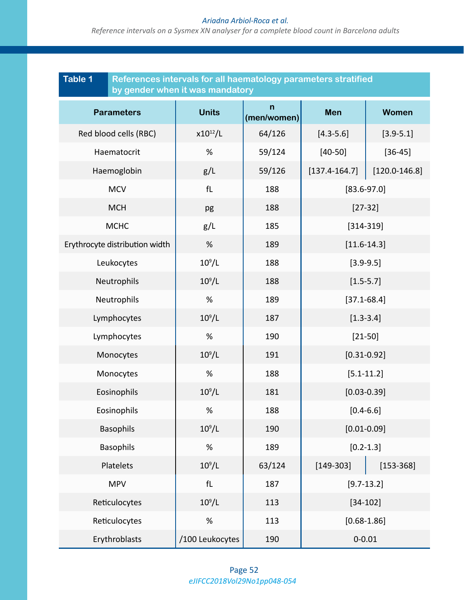#### *Ariadna Arbiol-Roca et al.*

*Reference intervals on a Sysmex XN analyser for a complete blood count in Barcelona adults*

| <b>Table 1</b><br>References intervals for all haematology parameters stratified<br>by gender when it was mandatory |                 |                             |                   |                   |
|---------------------------------------------------------------------------------------------------------------------|-----------------|-----------------------------|-------------------|-------------------|
| <b>Parameters</b>                                                                                                   | <b>Units</b>    | $\mathsf{n}$<br>(men/women) | <b>Men</b>        | <b>Women</b>      |
| Red blood cells (RBC)                                                                                               | $x10^{12}/L$    | 64/126                      | $[4.3 - 5.6]$     | $[3.9 - 5.1]$     |
| Haematocrit                                                                                                         | %               | 59/124                      | $[40 - 50]$       | $[36 - 45]$       |
| Haemoglobin                                                                                                         | g/L             | 59/126                      | $[137.4 - 164.7]$ | $[120.0 - 146.8]$ |
| <b>MCV</b>                                                                                                          | fL              | 188                         | $[83.6 - 97.0]$   |                   |
| <b>MCH</b>                                                                                                          | pg              | 188                         | $[27-32]$         |                   |
| <b>MCHC</b>                                                                                                         | g/L             | 185                         | $[314 - 319]$     |                   |
| Erythrocyte distribution width                                                                                      | %               | 189                         | $[11.6 - 14.3]$   |                   |
| Leukocytes                                                                                                          | $10^9/L$        | 188                         | $[3.9 - 9.5]$     |                   |
| Neutrophils                                                                                                         | $10^9/L$        | 188                         | $[1.5 - 5.7]$     |                   |
| Neutrophils                                                                                                         | %               | 189                         | $[37.1 - 68.4]$   |                   |
| Lymphocytes                                                                                                         | $10^9/L$        | 187                         | $[1.3 - 3.4]$     |                   |
| Lymphocytes                                                                                                         | $\%$            | 190                         | $[21 - 50]$       |                   |
| Monocytes                                                                                                           | $10^9/L$        | 191                         | $[0.31 - 0.92]$   |                   |
| Monocytes                                                                                                           | %               | 188                         | $[5.1 - 11.2]$    |                   |
| Eosinophils                                                                                                         | $10^9/L$        | 181                         | $[0.03 - 0.39]$   |                   |
| Eosinophils                                                                                                         | $\%$            | 188                         | $[0.4 - 6.6]$     |                   |
| <b>Basophils</b>                                                                                                    | $10^9/L$        | 190                         | $[0.01 - 0.09]$   |                   |
| <b>Basophils</b>                                                                                                    | %               | 189                         | $[0.2 - 1.3]$     |                   |
| Platelets                                                                                                           | $10^9/L$        | 63/124                      | $[149-303]$       | $[153 - 368]$     |
| <b>MPV</b>                                                                                                          | fL              | 187                         | $[9.7 - 13.2]$    |                   |
| Reticulocytes                                                                                                       | $10^9/L$        | 113                         | $[34 - 102]$      |                   |
| Reticulocytes                                                                                                       | $\%$            | 113                         | $[0.68 - 1.86]$   |                   |
| Erythroblasts                                                                                                       | /100 Leukocytes | 190                         | $0 - 0.01$        |                   |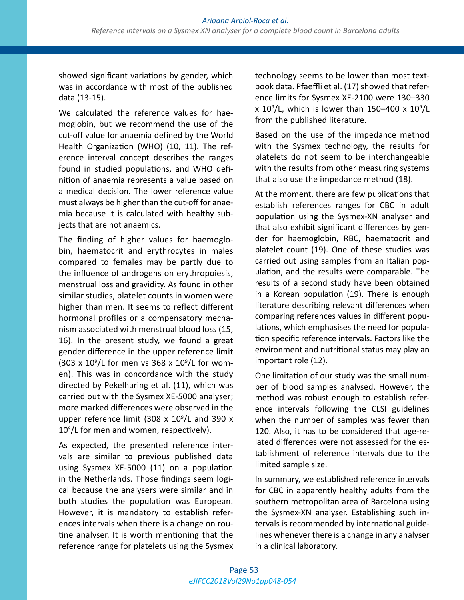showed significant variations by gender, which was in accordance with most of the published data (13-15).

We calculated the reference values for haemoglobin, but we recommend the use of the cut-off value for anaemia defined by the World Health Organization (WHO) (10, 11). The reference interval concept describes the ranges found in studied populations, and WHO definition of anaemia represents a value based on a medical decision. The lower reference value must always be higher than the cut-off for anaemia because it is calculated with healthy subjects that are not anaemics.

The finding of higher values for haemoglobin, haematocrit and erythrocytes in males compared to females may be partly due to the influence of androgens on erythropoiesis, menstrual loss and gravidity. As found in other similar studies, platelet counts in women were higher than men. It seems to reflect different hormonal profiles or a compensatory mechanism associated with menstrual blood loss (15, 16). In the present study, we found a great gender difference in the upper reference limit (303 x  $10^9$ /L for men vs 368 x  $10^9$ /L for women). This was in concordance with the study directed by Pekelharing et al. (11), which was carried out with the Sysmex XE-5000 analyser; more marked differences were observed in the upper reference limit (308  $\times$  10<sup>9</sup>/L and 390  $\times$ 109 /L for men and women, respectively).

As expected, the presented reference intervals are similar to previous published data using Sysmex XE-5000 (11) on a population in the Netherlands. Those findings seem logical because the analysers were similar and in both studies the population was European. However, it is mandatory to establish references intervals when there is a change on routine analyser. It is worth mentioning that the reference range for platelets using the Sysmex technology seems to be lower than most textbook data. Pfaeffli et al. (17) showed that reference limits for Sysmex XE-2100 were 130–330 x 10<sup>9</sup>/L, which is lower than 150–400 x 10<sup>9</sup>/L from the published literature.

Based on the use of the impedance method with the Sysmex technology, the results for platelets do not seem to be interchangeable with the results from other measuring systems that also use the impedance method (18).

At the moment, there are few publications that establish references ranges for CBC in adult population using the Sysmex-XN analyser and that also exhibit significant differences by gender for haemoglobin, RBC, haematocrit and platelet count (19). One of these studies was carried out using samples from an Italian population, and the results were comparable. The results of a second study have been obtained in a Korean population (19). There is enough literature describing relevant differences when comparing references values in different populations, which emphasises the need for population specific reference intervals. Factors like the environment and nutritional status may play an important role (12).

One limitation of our study was the small number of blood samples analysed. However, the method was robust enough to establish reference intervals following the CLSI guidelines when the number of samples was fewer than 120. Also, it has to be considered that age-related differences were not assessed for the establishment of reference intervals due to the limited sample size.

In summary, we established reference intervals for CBC in apparently healthy adults from the southern metropolitan area of Barcelona using the Sysmex-XN analyser. Establishing such intervals is recommended by international guidelines whenever there is a change in any analyser in a clinical laboratory.